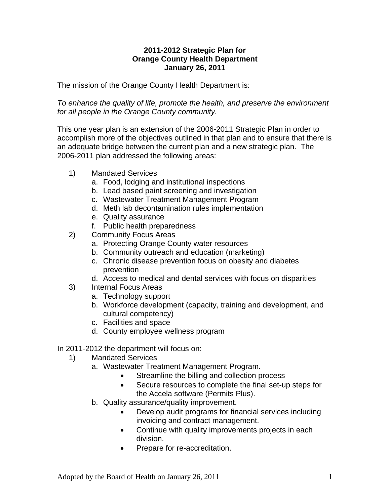## **2011-2012 Strategic Plan for Orange County Health Department January 26, 2011**

The mission of the Orange County Health Department is:

*To enhance the quality of life, promote the health, and preserve the environment for all people in the Orange County community.* 

This one year plan is an extension of the 2006-2011 Strategic Plan in order to accomplish more of the objectives outlined in that plan and to ensure that there is an adequate bridge between the current plan and a new strategic plan. The 2006-2011 plan addressed the following areas:

- 1) Mandated Services
	- a. Food, lodging and institutional inspections
	- b. Lead based paint screening and investigation
	- c. Wastewater Treatment Management Program
	- d. Meth lab decontamination rules implementation
	- e. Quality assurance
	- f. Public health preparedness
- 2) Community Focus Areas
	- a. Protecting Orange County water resources
	- b. Community outreach and education (marketing)
	- c. Chronic disease prevention focus on obesity and diabetes prevention
	- d. Access to medical and dental services with focus on disparities
- 3) Internal Focus Areas
	- a. Technology support
	- b. Workforce development (capacity, training and development, and cultural competency)
	- c. Facilities and space
	- d. County employee wellness program

In 2011-2012 the department will focus on:

- 1) Mandated Services
	- a. Wastewater Treatment Management Program.
		- Streamline the billing and collection process
		- Secure resources to complete the final set-up steps for the Accela software (Permits Plus).
	- b. Quality assurance/quality improvement.
		- Develop audit programs for financial services including invoicing and contract management.
		- Continue with quality improvements projects in each division.
		- Prepare for re-accreditation.